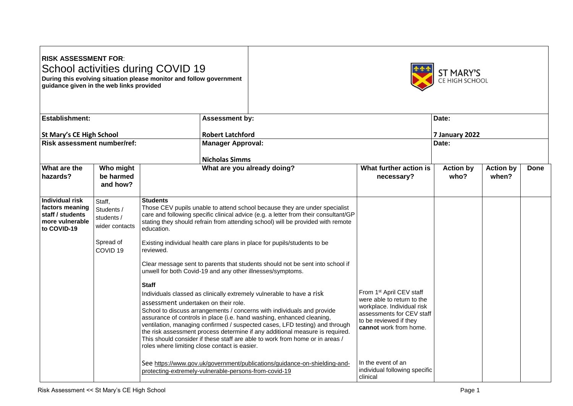## **RISK ASSESSMENT FOR**: School activities during COVID 19 **During this evolving situation please monitor and follow government**

**guidance given in the web links provided**



| Establishment:                                                                                  |                                                                   |                                                                                                       | <b>Assessment by:</b><br><b>Robert Latchford</b> |                                                                                                                                                                                                                                                                                                                                                                                                                                                                         | Date:<br>7 January 2022                                                                                                                                                           |                          |                           |      |
|-------------------------------------------------------------------------------------------------|-------------------------------------------------------------------|-------------------------------------------------------------------------------------------------------|--------------------------------------------------|-------------------------------------------------------------------------------------------------------------------------------------------------------------------------------------------------------------------------------------------------------------------------------------------------------------------------------------------------------------------------------------------------------------------------------------------------------------------------|-----------------------------------------------------------------------------------------------------------------------------------------------------------------------------------|--------------------------|---------------------------|------|
| <b>St Mary's CE High School</b>                                                                 |                                                                   |                                                                                                       |                                                  |                                                                                                                                                                                                                                                                                                                                                                                                                                                                         |                                                                                                                                                                                   |                          |                           |      |
| <b>Risk assessment number/ref:</b>                                                              |                                                                   |                                                                                                       | <b>Manager Approval:</b>                         |                                                                                                                                                                                                                                                                                                                                                                                                                                                                         |                                                                                                                                                                                   | Date:                    |                           |      |
|                                                                                                 |                                                                   |                                                                                                       | <b>Nicholas Simms</b>                            |                                                                                                                                                                                                                                                                                                                                                                                                                                                                         |                                                                                                                                                                                   |                          |                           |      |
| What are the<br>hazards?                                                                        | Who might<br>be harmed<br>and how?                                |                                                                                                       |                                                  | What are you already doing?                                                                                                                                                                                                                                                                                                                                                                                                                                             | What further action is<br>necessary?                                                                                                                                              | <b>Action by</b><br>who? | <b>Action by</b><br>when? | Done |
| <b>Individual risk</b><br>factors meaning<br>staff / students<br>more vulnerable<br>to COVID-19 | Staff,<br>Students /<br>students /<br>wider contacts<br>Spread of | <b>Students</b><br>education.                                                                         |                                                  | Those CEV pupils unable to attend school because they are under specialist<br>care and following specific clinical advice (e.g. a letter from their consultant/GP<br>stating they should refrain from attending school) will be provided with remote<br>Existing individual health care plans in place for pupils/students to be                                                                                                                                        |                                                                                                                                                                                   |                          |                           |      |
|                                                                                                 | COVID <sub>19</sub>                                               | reviewed.                                                                                             |                                                  | Clear message sent to parents that students should not be sent into school if<br>unwell for both Covid-19 and any other illnesses/symptoms.                                                                                                                                                                                                                                                                                                                             |                                                                                                                                                                                   |                          |                           |      |
|                                                                                                 |                                                                   | <b>Staff</b><br>assessment undertaken on their role.<br>roles where limiting close contact is easier. |                                                  | Individuals classed as clinically extremely vulnerable to have a risk<br>School to discuss arrangements / concerns with individuals and provide<br>assurance of controls in place (i.e. hand washing, enhanced cleaning,<br>ventilation, managing confirmed / suspected cases, LFD testing) and through<br>the risk assessment process determine if any additional measure is required.<br>This should consider if these staff are able to work from home or in areas / | From 1 <sup>st</sup> April CEV staff<br>were able to return to the<br>workplace. Individual risk<br>assessments for CEV staff<br>to be reviewed if they<br>cannot work from home. |                          |                           |      |
|                                                                                                 |                                                                   | protecting-extremely-vulnerable-persons-from-covid-19                                                 |                                                  | See https://www.gov.uk/government/publications/guidance-on-shielding-and-                                                                                                                                                                                                                                                                                                                                                                                               | In the event of an<br>individual following specific<br>clinical                                                                                                                   |                          |                           |      |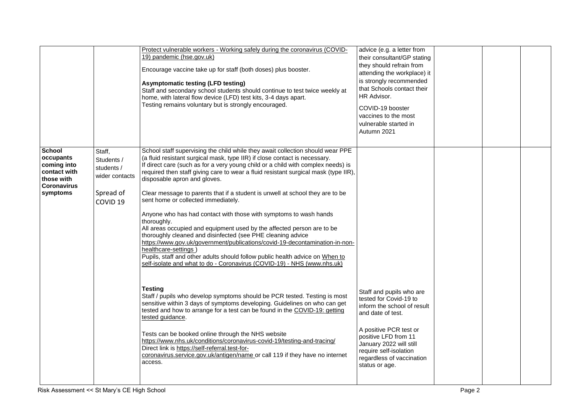|                                                                                                           |                                                                                          | Protect vulnerable workers - Working safely during the coronavirus (COVID-<br>19) pandemic (hse.gov.uk)<br>Encourage vaccine take up for staff (both doses) plus booster.<br><b>Asymptomatic testing (LFD testing)</b><br>Staff and secondary school students should continue to test twice weekly at<br>home, with lateral flow device (LFD) test kits, 3-4 days apart.<br>Testing remains voluntary but is strongly encouraged.                                                                                                                                                                                                                                                                                                                                                                                                                                                                                                                                                             | advice (e.g. a letter from<br>their consultant/GP stating<br>they should refrain from<br>attending the workplace) it<br>is strongly recommended<br>that Schools contact their<br>HR Advisor.<br>COVID-19 booster<br>vaccines to the most<br>vulnerable started in<br>Autumn 2021 |  |  |
|-----------------------------------------------------------------------------------------------------------|------------------------------------------------------------------------------------------|-----------------------------------------------------------------------------------------------------------------------------------------------------------------------------------------------------------------------------------------------------------------------------------------------------------------------------------------------------------------------------------------------------------------------------------------------------------------------------------------------------------------------------------------------------------------------------------------------------------------------------------------------------------------------------------------------------------------------------------------------------------------------------------------------------------------------------------------------------------------------------------------------------------------------------------------------------------------------------------------------|----------------------------------------------------------------------------------------------------------------------------------------------------------------------------------------------------------------------------------------------------------------------------------|--|--|
| <b>School</b><br>occupants<br>coming into<br>contact with<br>those with<br><b>Coronavirus</b><br>symptoms | Staff,<br>Students /<br>students /<br>wider contacts<br>Spread of<br>COVID <sub>19</sub> | School staff supervising the child while they await collection should wear PPE<br>(a fluid resistant surgical mask, type IIR) if close contact is necessary.<br>If direct care (such as for a very young child or a child with complex needs) is<br>required then staff giving care to wear a fluid resistant surgical mask (type IIR),<br>disposable apron and gloves.<br>Clear message to parents that if a student is unwell at school they are to be<br>sent home or collected immediately.<br>Anyone who has had contact with those with symptoms to wash hands<br>thoroughly.<br>All areas occupied and equipment used by the affected person are to be<br>thoroughly cleaned and disinfected (see PHE cleaning advice<br>https://www.gov.uk/government/publications/covid-19-decontamination-in-non-<br>healthcare-settings<br>Pupils, staff and other adults should follow public health advice on When to<br>self-isolate and what to do - Coronavirus (COVID-19) - NHS (www.nhs.uk) |                                                                                                                                                                                                                                                                                  |  |  |
|                                                                                                           |                                                                                          | <b>Testing</b><br>Staff / pupils who develop symptoms should be PCR tested. Testing is most<br>sensitive within 3 days of symptoms developing. Guidelines on who can get<br>tested and how to arrange for a test can be found in the COVID-19: getting<br>tested guidance.<br>Tests can be booked online through the NHS website<br>https://www.nhs.uk/conditions/coronavirus-covid-19/testing-and-tracing/<br>Direct link is https://self-referral.test-for-<br>coronavirus.service.gov.uk/antigen/name or call 119 if they have no internet<br>access.                                                                                                                                                                                                                                                                                                                                                                                                                                      | Staff and pupils who are<br>tested for Covid-19 to<br>inform the school of result<br>and date of test.<br>A positive PCR test or<br>positive LFD from 11<br>January 2022 will still<br>require self-isolation<br>regardless of vaccination<br>status or age.                     |  |  |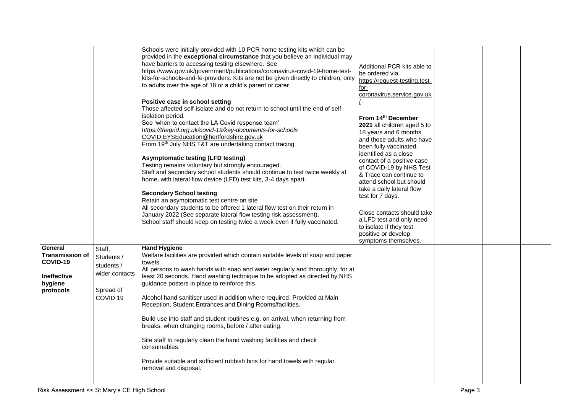|                                                                                      |                                                                                          | Schools were initially provided with 10 PCR home testing kits which can be<br>provided in the exceptional circumstance that you believe an individual may<br>have barriers to accessing testing elsewhere. See<br>https://www.gov.uk/government/publications/coronavirus-covid-19-home-test-<br>kits-for-schools-and-fe-providers. Kits are not be given directly to children, only<br>to adults over the age of 18 or a child's parent or carer.<br>Positive case in school setting<br>Those affected self-isolate and do not return to school until the end of self-<br>isolation period.<br>See 'when to contact the LA Covid response team'<br>https://thegrid.org.uk/covid-19/key-documents-for-schools<br>COVID.EYSEducation@hertfordshire.gov.uk<br>From 19th July NHS T&T are undertaking contact tracing<br><b>Asymptomatic testing (LFD testing)</b><br>Testing remains voluntary but strongly encouraged.<br>Staff and secondary school students should continue to test twice weekly at<br>home, with lateral flow device (LFD) test kits, 3-4 days apart.<br><b>Secondary School testing</b><br>Retain an asymptomatic test centre on site<br>All secondary students to be offered 1 lateral flow test on their return in<br>January 2022 (See separate lateral flow testing risk assessment).<br>School staff should keep on testing twice a week even if fully vaccinated. | Additional PCR kits able to<br>be ordered via<br>https://request-testing.test-<br>for-<br>coronavirus.service.gov.uk<br>From 14th December<br>2021 all children aged 5 to<br>18 years and 6 months<br>and those adults who have<br>been fully vaccinated,<br>identified as a close<br>contact of a positive case<br>of COVID-19 by NHS Test<br>& Trace can continue to<br>attend school but should<br>take a daily lateral flow<br>test for 7 days.<br>Close contacts should take<br>a LFD test and only need<br>to isolate if they test<br>positive or develop<br>symptoms themselves. |  |  |
|--------------------------------------------------------------------------------------|------------------------------------------------------------------------------------------|-------------------------------------------------------------------------------------------------------------------------------------------------------------------------------------------------------------------------------------------------------------------------------------------------------------------------------------------------------------------------------------------------------------------------------------------------------------------------------------------------------------------------------------------------------------------------------------------------------------------------------------------------------------------------------------------------------------------------------------------------------------------------------------------------------------------------------------------------------------------------------------------------------------------------------------------------------------------------------------------------------------------------------------------------------------------------------------------------------------------------------------------------------------------------------------------------------------------------------------------------------------------------------------------------------------------------------------------------------------------------------------------|-----------------------------------------------------------------------------------------------------------------------------------------------------------------------------------------------------------------------------------------------------------------------------------------------------------------------------------------------------------------------------------------------------------------------------------------------------------------------------------------------------------------------------------------------------------------------------------------|--|--|
| General<br><b>Transmission of</b><br>COVID-19<br>Ineffective<br>hygiene<br>protocols | Staff,<br>Students /<br>students /<br>wider contacts<br>Spread of<br>COVID <sub>19</sub> | <b>Hand Hygiene</b><br>Welfare facilities are provided which contain suitable levels of soap and paper<br>towels.<br>All persons to wash hands with soap and water regularly and thoroughly, for at<br>least 20 seconds. Hand washing technique to be adopted as directed by NHS<br>guidance posters in place to reinforce this.<br>Alcohol hand sanitiser used in addition where required. Provided at Main<br>Reception, Student Entrances and Dining Rooms/facilities.<br>Build use into staff and student routines e.g. on arrival, when returning from<br>breaks, when changing rooms, before / after eating.<br>Site staff to regularly clean the hand washing facilities and check<br>consumables.<br>Provide suitable and sufficient rubbish bins for hand towels with regular<br>removal and disposal.                                                                                                                                                                                                                                                                                                                                                                                                                                                                                                                                                                           |                                                                                                                                                                                                                                                                                                                                                                                                                                                                                                                                                                                         |  |  |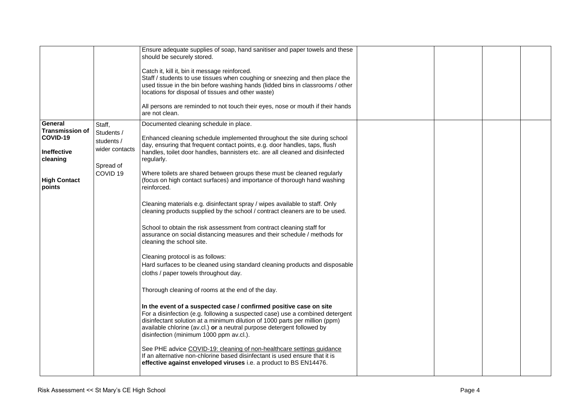|                                                                                 |                                                                                          | Ensure adequate supplies of soap, hand sanitiser and paper towels and these<br>should be securely stored.<br>Catch it, kill it, bin it message reinforced.<br>Staff / students to use tissues when coughing or sneezing and then place the<br>used tissue in the bin before washing hands (lidded bins in classrooms / other<br>locations for disposal of tissues and other waste)                                                       |  |  |
|---------------------------------------------------------------------------------|------------------------------------------------------------------------------------------|------------------------------------------------------------------------------------------------------------------------------------------------------------------------------------------------------------------------------------------------------------------------------------------------------------------------------------------------------------------------------------------------------------------------------------------|--|--|
|                                                                                 |                                                                                          | All persons are reminded to not touch their eyes, nose or mouth if their hands<br>are not clean.                                                                                                                                                                                                                                                                                                                                         |  |  |
| General<br><b>Transmission of</b><br>COVID-19<br><b>Ineffective</b><br>cleaning | Staff,<br>Students /<br>students /<br>wider contacts<br>Spread of<br>COVID <sub>19</sub> | Documented cleaning schedule in place.<br>Enhanced cleaning schedule implemented throughout the site during school<br>day, ensuring that frequent contact points, e.g. door handles, taps, flush<br>handles, toilet door handles, bannisters etc. are all cleaned and disinfected<br>regularly.<br>Where toilets are shared between groups these must be cleaned regularly                                                               |  |  |
| <b>High Contact</b><br>points                                                   |                                                                                          | (focus on high contact surfaces) and importance of thorough hand washing<br>reinforced.<br>Cleaning materials e.g. disinfectant spray / wipes available to staff. Only<br>cleaning products supplied by the school / contract cleaners are to be used.<br>School to obtain the risk assessment from contract cleaning staff for<br>assurance on social distancing measures and their schedule / methods for<br>cleaning the school site. |  |  |
|                                                                                 |                                                                                          | Cleaning protocol is as follows:<br>Hard surfaces to be cleaned using standard cleaning products and disposable<br>cloths / paper towels throughout day.<br>Thorough cleaning of rooms at the end of the day.                                                                                                                                                                                                                            |  |  |
|                                                                                 |                                                                                          | In the event of a suspected case / confirmed positive case on site<br>For a disinfection (e.g. following a suspected case) use a combined detergent<br>disinfectant solution at a minimum dilution of 1000 parts per million (ppm)<br>available chlorine (av.cl.) or a neutral purpose detergent followed by<br>disinfection (minimum 1000 ppm av.cl.).                                                                                  |  |  |
|                                                                                 |                                                                                          | See PHE advice COVID-19: cleaning of non-healthcare settings guidance<br>If an alternative non-chlorine based disinfectant is used ensure that it is<br>effective against enveloped viruses i.e. a product to BS EN14476.                                                                                                                                                                                                                |  |  |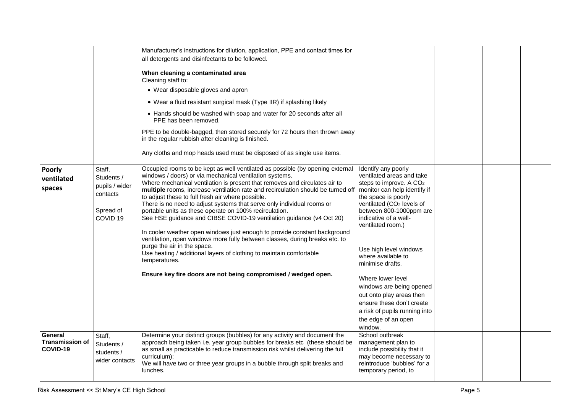|                                               |                                                                                        | Manufacturer's instructions for dilution, application, PPE and contact times for<br>all detergents and disinfectants to be followed.<br>When cleaning a contaminated area<br>Cleaning staff to:<br>• Wear disposable gloves and apron<br>• Wear a fluid resistant surgical mask (Type IIR) if splashing likely<br>• Hands should be washed with soap and water for 20 seconds after all<br>PPE has been removed.<br>PPE to be double-bagged, then stored securely for 72 hours then thrown away<br>in the regular rubbish after cleaning is finished.<br>Any cloths and mop heads used must be disposed of as single use items.                                                                                                                                                                                                                                |                                                                                                                                                                                                                                                                                                                                      |  |  |
|-----------------------------------------------|----------------------------------------------------------------------------------------|----------------------------------------------------------------------------------------------------------------------------------------------------------------------------------------------------------------------------------------------------------------------------------------------------------------------------------------------------------------------------------------------------------------------------------------------------------------------------------------------------------------------------------------------------------------------------------------------------------------------------------------------------------------------------------------------------------------------------------------------------------------------------------------------------------------------------------------------------------------|--------------------------------------------------------------------------------------------------------------------------------------------------------------------------------------------------------------------------------------------------------------------------------------------------------------------------------------|--|--|
| <b>Poorly</b><br>ventilated<br>spaces         | Staff,<br>Students /<br>pupils / wider<br>contacts<br>Spread of<br>COVID <sub>19</sub> | Occupied rooms to be kept as well ventilated as possible (by opening external<br>windows / doors) or via mechanical ventilation systems.<br>Where mechanical ventilation is present that removes and circulates air to<br>multiple rooms, increase ventilation rate and recirculation should be turned off<br>to adjust these to full fresh air where possible.<br>There is no need to adjust systems that serve only individual rooms or<br>portable units as these operate on 100% recirculation.<br>See HSE guidance and CIBSE COVID-19 ventilation guidance (v4 Oct 20)<br>In cooler weather open windows just enough to provide constant background<br>ventilation, open windows more fully between classes, during breaks etc. to<br>purge the air in the space.<br>Use heating / additional layers of clothing to maintain comfortable<br>temperatures. | Identify any poorly<br>ventilated areas and take<br>steps to improve. A CO <sub>2</sub><br>monitor can help identify if<br>the space is poorly<br>ventilated (CO <sub>2</sub> levels of<br>between 800-1000ppm are<br>indicative of a well-<br>ventilated room.)<br>Use high level windows<br>where available to<br>minimise drafts. |  |  |
|                                               |                                                                                        | Ensure key fire doors are not being compromised / wedged open.                                                                                                                                                                                                                                                                                                                                                                                                                                                                                                                                                                                                                                                                                                                                                                                                 | Where lower level<br>windows are being opened<br>out onto play areas then<br>ensure these don't create<br>a risk of pupils running into<br>the edge of an open<br>window.                                                                                                                                                            |  |  |
| General<br><b>Transmission of</b><br>COVID-19 | Staff,<br>Students /<br>students /<br>wider contacts                                   | Determine your distinct groups (bubbles) for any activity and document the<br>approach being taken i.e. year group bubbles for breaks etc (these should be<br>as small as practicable to reduce transmission risk whilst delivering the full<br>curriculum):<br>We will have two or three year groups in a bubble through split breaks and<br>lunches.                                                                                                                                                                                                                                                                                                                                                                                                                                                                                                         | School outbreak<br>management plan to<br>include possibility that it<br>may become necessary to<br>reintroduce 'bubbles' for a<br>temporary period, to                                                                                                                                                                               |  |  |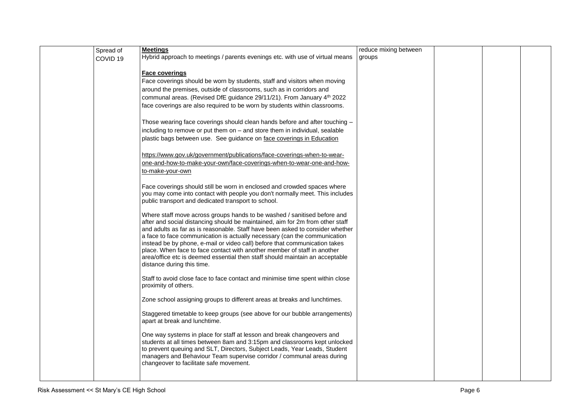| Spread of           | <b>Meetings</b>                                                                                                                                        | reduce mixing between |  |  |
|---------------------|--------------------------------------------------------------------------------------------------------------------------------------------------------|-----------------------|--|--|
| COVID <sub>19</sub> | Hybrid approach to meetings / parents evenings etc. with use of virtual means                                                                          | groups                |  |  |
|                     |                                                                                                                                                        |                       |  |  |
|                     | <b>Face coverings</b>                                                                                                                                  |                       |  |  |
|                     | Face coverings should be worn by students, staff and visitors when moving                                                                              |                       |  |  |
|                     | around the premises, outside of classrooms, such as in corridors and                                                                                   |                       |  |  |
|                     | communal areas. (Revised DfE guidance 29/11/21). From January 4 <sup>th</sup> 2022                                                                     |                       |  |  |
|                     | face coverings are also required to be worn by students within classrooms.                                                                             |                       |  |  |
|                     |                                                                                                                                                        |                       |  |  |
|                     | Those wearing face coverings should clean hands before and after touching -                                                                            |                       |  |  |
|                     | including to remove or put them on - and store them in individual, sealable                                                                            |                       |  |  |
|                     |                                                                                                                                                        |                       |  |  |
|                     | plastic bags between use. See guidance on face coverings in Education                                                                                  |                       |  |  |
|                     |                                                                                                                                                        |                       |  |  |
|                     | https://www.gov.uk/government/publications/face-coverings-when-to-wear-<br>one-and-how-to-make-your-own/face-coverings-when-to-wear-one-and-how-       |                       |  |  |
|                     |                                                                                                                                                        |                       |  |  |
|                     | to-make-your-own                                                                                                                                       |                       |  |  |
|                     | Face coverings should still be worn in enclosed and crowded spaces where                                                                               |                       |  |  |
|                     | you may come into contact with people you don't normally meet. This includes                                                                           |                       |  |  |
|                     | public transport and dedicated transport to school.                                                                                                    |                       |  |  |
|                     |                                                                                                                                                        |                       |  |  |
|                     | Where staff move across groups hands to be washed / sanitised before and                                                                               |                       |  |  |
|                     | after and social distancing should be maintained, aim for 2m from other staff                                                                          |                       |  |  |
|                     | and adults as far as is reasonable. Staff have been asked to consider whether                                                                          |                       |  |  |
|                     | a face to face communication is actually necessary (can the communication                                                                              |                       |  |  |
|                     | instead be by phone, e-mail or video call) before that communication takes<br>place. When face to face contact with another member of staff in another |                       |  |  |
|                     | area/office etc is deemed essential then staff should maintain an acceptable                                                                           |                       |  |  |
|                     | distance during this time.                                                                                                                             |                       |  |  |
|                     |                                                                                                                                                        |                       |  |  |
|                     | Staff to avoid close face to face contact and minimise time spent within close                                                                         |                       |  |  |
|                     | proximity of others.                                                                                                                                   |                       |  |  |
|                     |                                                                                                                                                        |                       |  |  |
|                     | Zone school assigning groups to different areas at breaks and lunchtimes.                                                                              |                       |  |  |
|                     | Staggered timetable to keep groups (see above for our bubble arrangements)                                                                             |                       |  |  |
|                     | apart at break and lunchtime.                                                                                                                          |                       |  |  |
|                     |                                                                                                                                                        |                       |  |  |
|                     | One way systems in place for staff at lesson and break changeovers and                                                                                 |                       |  |  |
|                     | students at all times between 8am and 3:15pm and classrooms kept unlocked                                                                              |                       |  |  |
|                     | to prevent queuing and SLT, Directors, Subject Leads, Year Leads, Student                                                                              |                       |  |  |
|                     | managers and Behaviour Team supervise corridor / communal areas during                                                                                 |                       |  |  |
|                     | changeover to facilitate safe movement.                                                                                                                |                       |  |  |
|                     |                                                                                                                                                        |                       |  |  |
|                     |                                                                                                                                                        |                       |  |  |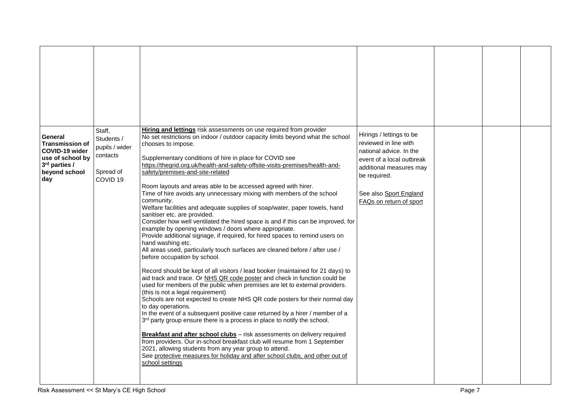| General<br><b>Transmission of</b><br>COVID-19 wider<br>use of school by<br>3rd parties /<br>beyond school<br>day | Staff,<br>Students /<br>pupils / wider<br>contacts<br>Spread of<br>COVID <sub>19</sub> | Hiring and lettings risk assessments on use required from provider<br>No set restrictions on indoor / outdoor capacity limits beyond what the school<br>chooses to impose.<br>Supplementary conditions of hire in place for COVID see<br>https://thegrid.org.uk/health-and-safety-offsite-visits-premises/health-and-<br>safety/premises-and-site-related<br>Room layouts and areas able to be accessed agreed with hirer.<br>Time of hire avoids any unnecessary mixing with members of the school<br>community.<br>Welfare facilities and adequate supplies of soap/water, paper towels, hand<br>sanitiser etc. are provided.<br>Consider how well ventilated the hired space is and if this can be improved, for<br>example by opening windows / doors where appropriate.<br>Provide additional signage, if required, for hired spaces to remind users on<br>hand washing etc.<br>All areas used, particularly touch surfaces are cleaned before / after use /<br>before occupation by school.<br>Record should be kept of all visitors / lead booker (maintained for 21 days) to<br>aid track and trace. Or NHS QR code poster and check in function could be<br>used for members of the public when premises are let to external providers.<br>(this is not a legal requirement)<br>Schools are not expected to create NHS QR code posters for their normal day<br>to day operations.<br>In the event of a subsequent positive case returned by a hirer / member of a<br>3rd party group ensure there is a process in place to notify the school.<br>Breakfast and after school clubs - risk assessments on delivery required<br>from providers. Our in-school breakfast club will resume from 1 September<br>2021, allowing students from any year group to attend.<br>See protective measures for holiday and after school clubs, and other out of<br>school settings | Hirings / lettings to be<br>reviewed in line with<br>national advice. In the<br>event of a local outbreak<br>additional measures may<br>be required.<br>See also Sport England<br>FAQs on return of sport |  |  |
|------------------------------------------------------------------------------------------------------------------|----------------------------------------------------------------------------------------|------------------------------------------------------------------------------------------------------------------------------------------------------------------------------------------------------------------------------------------------------------------------------------------------------------------------------------------------------------------------------------------------------------------------------------------------------------------------------------------------------------------------------------------------------------------------------------------------------------------------------------------------------------------------------------------------------------------------------------------------------------------------------------------------------------------------------------------------------------------------------------------------------------------------------------------------------------------------------------------------------------------------------------------------------------------------------------------------------------------------------------------------------------------------------------------------------------------------------------------------------------------------------------------------------------------------------------------------------------------------------------------------------------------------------------------------------------------------------------------------------------------------------------------------------------------------------------------------------------------------------------------------------------------------------------------------------------------------------------------------------------------------------------------------------------------------------------------------------------------------------|-----------------------------------------------------------------------------------------------------------------------------------------------------------------------------------------------------------|--|--|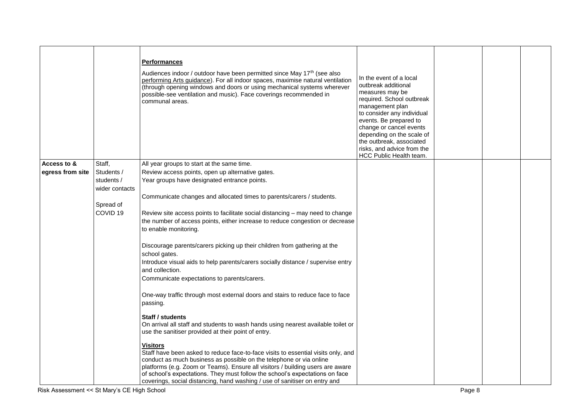|                  |                     | <b>Performances</b><br>Audiences indoor / outdoor have been permitted since May 17 <sup>th</sup> (see also<br>performing Arts guidance). For all indoor spaces, maximise natural ventilation<br>(through opening windows and doors or using mechanical systems wherever<br>possible-see ventilation and music). Face coverings recommended in<br>communal areas. | In the event of a local<br>outbreak additional<br>measures may be<br>required. School outbreak<br>management plan<br>to consider any individual<br>events. Be prepared to<br>change or cancel events<br>depending on the scale of<br>the outbreak, associated<br>risks, and advice from the<br>HCC Public Health team. |  |  |
|------------------|---------------------|------------------------------------------------------------------------------------------------------------------------------------------------------------------------------------------------------------------------------------------------------------------------------------------------------------------------------------------------------------------|------------------------------------------------------------------------------------------------------------------------------------------------------------------------------------------------------------------------------------------------------------------------------------------------------------------------|--|--|
| Access to &      | Staff,              | All year groups to start at the same time.                                                                                                                                                                                                                                                                                                                       |                                                                                                                                                                                                                                                                                                                        |  |  |
| egress from site | Students /          | Review access points, open up alternative gates.                                                                                                                                                                                                                                                                                                                 |                                                                                                                                                                                                                                                                                                                        |  |  |
|                  | students /          | Year groups have designated entrance points.                                                                                                                                                                                                                                                                                                                     |                                                                                                                                                                                                                                                                                                                        |  |  |
|                  |                     |                                                                                                                                                                                                                                                                                                                                                                  |                                                                                                                                                                                                                                                                                                                        |  |  |
|                  | wider contacts      |                                                                                                                                                                                                                                                                                                                                                                  |                                                                                                                                                                                                                                                                                                                        |  |  |
|                  |                     | Communicate changes and allocated times to parents/carers / students.                                                                                                                                                                                                                                                                                            |                                                                                                                                                                                                                                                                                                                        |  |  |
|                  | Spread of           |                                                                                                                                                                                                                                                                                                                                                                  |                                                                                                                                                                                                                                                                                                                        |  |  |
|                  | COVID <sub>19</sub> | Review site access points to facilitate social distancing - may need to change                                                                                                                                                                                                                                                                                   |                                                                                                                                                                                                                                                                                                                        |  |  |
|                  |                     | the number of access points, either increase to reduce congestion or decrease                                                                                                                                                                                                                                                                                    |                                                                                                                                                                                                                                                                                                                        |  |  |
|                  |                     | to enable monitoring.                                                                                                                                                                                                                                                                                                                                            |                                                                                                                                                                                                                                                                                                                        |  |  |
|                  |                     |                                                                                                                                                                                                                                                                                                                                                                  |                                                                                                                                                                                                                                                                                                                        |  |  |
|                  |                     | Discourage parents/carers picking up their children from gathering at the                                                                                                                                                                                                                                                                                        |                                                                                                                                                                                                                                                                                                                        |  |  |
|                  |                     | school gates.                                                                                                                                                                                                                                                                                                                                                    |                                                                                                                                                                                                                                                                                                                        |  |  |
|                  |                     | Introduce visual aids to help parents/carers socially distance / supervise entry                                                                                                                                                                                                                                                                                 |                                                                                                                                                                                                                                                                                                                        |  |  |
|                  |                     | and collection.                                                                                                                                                                                                                                                                                                                                                  |                                                                                                                                                                                                                                                                                                                        |  |  |
|                  |                     | Communicate expectations to parents/carers.                                                                                                                                                                                                                                                                                                                      |                                                                                                                                                                                                                                                                                                                        |  |  |
|                  |                     | One-way traffic through most external doors and stairs to reduce face to face<br>passing.                                                                                                                                                                                                                                                                        |                                                                                                                                                                                                                                                                                                                        |  |  |
|                  |                     | <b>Staff / students</b>                                                                                                                                                                                                                                                                                                                                          |                                                                                                                                                                                                                                                                                                                        |  |  |
|                  |                     | On arrival all staff and students to wash hands using nearest available toilet or                                                                                                                                                                                                                                                                                |                                                                                                                                                                                                                                                                                                                        |  |  |
|                  |                     | use the sanitiser provided at their point of entry.                                                                                                                                                                                                                                                                                                              |                                                                                                                                                                                                                                                                                                                        |  |  |
|                  |                     | <b>Visitors</b>                                                                                                                                                                                                                                                                                                                                                  |                                                                                                                                                                                                                                                                                                                        |  |  |
|                  |                     | Staff have been asked to reduce face-to-face visits to essential visits only, and                                                                                                                                                                                                                                                                                |                                                                                                                                                                                                                                                                                                                        |  |  |
|                  |                     | conduct as much business as possible on the telephone or via online                                                                                                                                                                                                                                                                                              |                                                                                                                                                                                                                                                                                                                        |  |  |
|                  |                     | platforms (e.g. Zoom or Teams). Ensure all visitors / building users are aware                                                                                                                                                                                                                                                                                   |                                                                                                                                                                                                                                                                                                                        |  |  |
|                  |                     | of school's expectations. They must follow the school's expectations on face                                                                                                                                                                                                                                                                                     |                                                                                                                                                                                                                                                                                                                        |  |  |
|                  |                     | coverings, social distancing, hand washing / use of sanitiser on entry and                                                                                                                                                                                                                                                                                       |                                                                                                                                                                                                                                                                                                                        |  |  |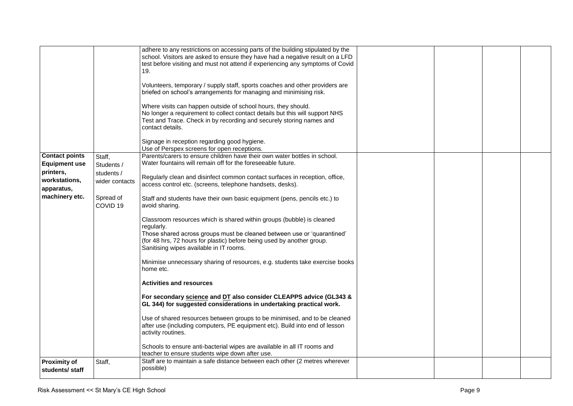|                                                                                                             |                                                                                          | adhere to any restrictions on accessing parts of the building stipulated by the<br>school. Visitors are asked to ensure they have had a negative result on a LFD<br>test before visiting and must not attend if experiencing any symptoms of Covid<br>19.<br>Volunteers, temporary / supply staff, sports coaches and other providers are<br>briefed on school's arrangements for managing and minimising risk.<br>Where visits can happen outside of school hours, they should.<br>No longer a requirement to collect contact details but this will support NHS<br>Test and Trace. Check in by recording and securely storing names and<br>contact details.<br>Signage in reception regarding good hygiene.<br>Use of Perspex screens for open receptions.                                                                                                                                                                                                                                                                                                                                                                                                                                                                                                              |  |  |
|-------------------------------------------------------------------------------------------------------------|------------------------------------------------------------------------------------------|--------------------------------------------------------------------------------------------------------------------------------------------------------------------------------------------------------------------------------------------------------------------------------------------------------------------------------------------------------------------------------------------------------------------------------------------------------------------------------------------------------------------------------------------------------------------------------------------------------------------------------------------------------------------------------------------------------------------------------------------------------------------------------------------------------------------------------------------------------------------------------------------------------------------------------------------------------------------------------------------------------------------------------------------------------------------------------------------------------------------------------------------------------------------------------------------------------------------------------------------------------------------------|--|--|
| <b>Contact points</b><br><b>Equipment use</b><br>printers,<br>workstations,<br>apparatus,<br>machinery etc. | Staff,<br>Students /<br>students /<br>wider contacts<br>Spread of<br>COVID <sub>19</sub> | Parents/carers to ensure children have their own water bottles in school.<br>Water fountains will remain off for the foreseeable future.<br>Regularly clean and disinfect common contact surfaces in reception, office,<br>access control etc. (screens, telephone handsets, desks).<br>Staff and students have their own basic equipment (pens, pencils etc.) to<br>avoid sharing.<br>Classroom resources which is shared within groups (bubble) is cleaned<br>regularly.<br>Those shared across groups must be cleaned between use or 'quarantined'<br>(for 48 hrs, 72 hours for plastic) before being used by another group.<br>Sanitising wipes available in IT rooms.<br>Minimise unnecessary sharing of resources, e.g. students take exercise books<br>home etc.<br><b>Activities and resources</b><br>For secondary science and DT also consider CLEAPPS advice (GL343 &<br>GL 344) for suggested considerations in undertaking practical work.<br>Use of shared resources between groups to be minimised, and to be cleaned<br>after use (including computers, PE equipment etc). Build into end of lesson<br>activity routines.<br>Schools to ensure anti-bacterial wipes are available in all IT rooms and<br>teacher to ensure students wipe down after use. |  |  |
| <b>Proximity of</b><br>students/staff                                                                       | Staff,                                                                                   | Staff are to maintain a safe distance between each other (2 metres wherever<br>possible)                                                                                                                                                                                                                                                                                                                                                                                                                                                                                                                                                                                                                                                                                                                                                                                                                                                                                                                                                                                                                                                                                                                                                                                 |  |  |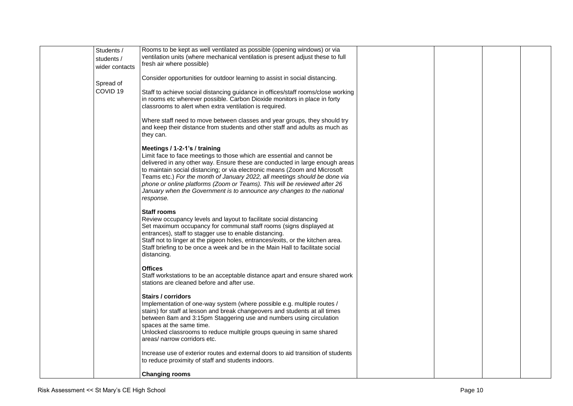| Students /<br>students /<br>wider contacts | Rooms to be kept as well ventilated as possible (opening windows) or via<br>ventilation units (where mechanical ventilation is present adjust these to full<br>fresh air where possible)                                                                                                                                                                                                                                                                                                                                |  |  |
|--------------------------------------------|-------------------------------------------------------------------------------------------------------------------------------------------------------------------------------------------------------------------------------------------------------------------------------------------------------------------------------------------------------------------------------------------------------------------------------------------------------------------------------------------------------------------------|--|--|
| Spread of                                  | Consider opportunities for outdoor learning to assist in social distancing.                                                                                                                                                                                                                                                                                                                                                                                                                                             |  |  |
| COVID <sub>19</sub>                        | Staff to achieve social distancing guidance in offices/staff rooms/close working<br>in rooms etc wherever possible. Carbon Dioxide monitors in place in forty<br>classrooms to alert when extra ventilation is required.                                                                                                                                                                                                                                                                                                |  |  |
|                                            | Where staff need to move between classes and year groups, they should try<br>and keep their distance from students and other staff and adults as much as<br>they can.                                                                                                                                                                                                                                                                                                                                                   |  |  |
|                                            | Meetings / 1-2-1's / training<br>Limit face to face meetings to those which are essential and cannot be<br>delivered in any other way. Ensure these are conducted in large enough areas<br>to maintain social distancing; or via electronic means (Zoom and Microsoft<br>Teams etc.) For the month of January 2022, all meetings should be done via<br>phone or online platforms (Zoom or Teams). This will be reviewed after 26<br>January when the Government is to announce any changes to the national<br>response. |  |  |
|                                            | <b>Staff rooms</b><br>Review occupancy levels and layout to facilitate social distancing<br>Set maximum occupancy for communal staff rooms (signs displayed at<br>entrances), staff to stagger use to enable distancing.<br>Staff not to linger at the pigeon holes, entrances/exits, or the kitchen area.<br>Staff briefing to be once a week and be in the Main Hall to facilitate social<br>distancing.                                                                                                              |  |  |
|                                            | <b>Offices</b><br>Staff workstations to be an acceptable distance apart and ensure shared work<br>stations are cleaned before and after use.                                                                                                                                                                                                                                                                                                                                                                            |  |  |
|                                            | Stairs / corridors<br>Implementation of one-way system (where possible e.g. multiple routes /<br>stairs) for staff at lesson and break changeovers and students at all times<br>between 8am and 3:15pm Staggering use and numbers using circulation<br>spaces at the same time.<br>Unlocked classrooms to reduce multiple groups queuing in same shared<br>areas/ narrow corridors etc.                                                                                                                                 |  |  |
|                                            | Increase use of exterior routes and external doors to aid transition of students<br>to reduce proximity of staff and students indoors.                                                                                                                                                                                                                                                                                                                                                                                  |  |  |
|                                            | <b>Changing rooms</b>                                                                                                                                                                                                                                                                                                                                                                                                                                                                                                   |  |  |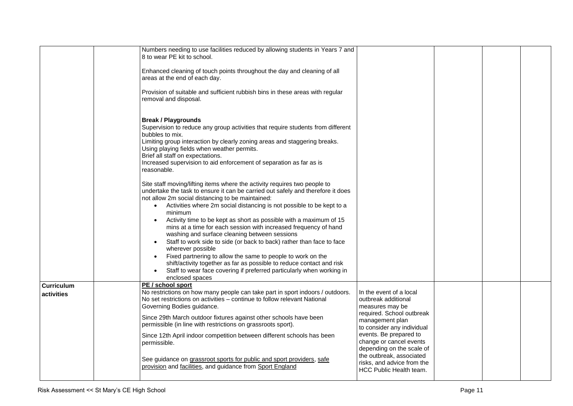|                                 | Numbers needing to use facilities reduced by allowing students in Years 7 and<br>8 to wear PE kit to school.                                                                                                                                                                                                                                                                                                                                                                                                                                                                                                                                                                                                                                                                                                                                   |                                                                                                                                                                                                                                                                                                                        |  |  |
|---------------------------------|------------------------------------------------------------------------------------------------------------------------------------------------------------------------------------------------------------------------------------------------------------------------------------------------------------------------------------------------------------------------------------------------------------------------------------------------------------------------------------------------------------------------------------------------------------------------------------------------------------------------------------------------------------------------------------------------------------------------------------------------------------------------------------------------------------------------------------------------|------------------------------------------------------------------------------------------------------------------------------------------------------------------------------------------------------------------------------------------------------------------------------------------------------------------------|--|--|
|                                 |                                                                                                                                                                                                                                                                                                                                                                                                                                                                                                                                                                                                                                                                                                                                                                                                                                                |                                                                                                                                                                                                                                                                                                                        |  |  |
|                                 | Enhanced cleaning of touch points throughout the day and cleaning of all<br>areas at the end of each day.                                                                                                                                                                                                                                                                                                                                                                                                                                                                                                                                                                                                                                                                                                                                      |                                                                                                                                                                                                                                                                                                                        |  |  |
|                                 | Provision of suitable and sufficient rubbish bins in these areas with regular<br>removal and disposal.                                                                                                                                                                                                                                                                                                                                                                                                                                                                                                                                                                                                                                                                                                                                         |                                                                                                                                                                                                                                                                                                                        |  |  |
|                                 | <b>Break / Playgrounds</b><br>Supervision to reduce any group activities that require students from different<br>bubbles to mix.<br>Limiting group interaction by clearly zoning areas and staggering breaks.<br>Using playing fields when weather permits.<br>Brief all staff on expectations.<br>Increased supervision to aid enforcement of separation as far as is<br>reasonable.                                                                                                                                                                                                                                                                                                                                                                                                                                                          |                                                                                                                                                                                                                                                                                                                        |  |  |
|                                 | Site staff moving/lifting items where the activity requires two people to<br>undertake the task to ensure it can be carried out safely and therefore it does<br>not allow 2m social distancing to be maintained:<br>Activities where 2m social distancing is not possible to be kept to a<br>minimum<br>Activity time to be kept as short as possible with a maximum of 15<br>$\bullet$<br>mins at a time for each session with increased frequency of hand<br>washing and surface cleaning between sessions<br>Staff to work side to side (or back to back) rather than face to face<br>wherever possible<br>Fixed partnering to allow the same to people to work on the<br>shift/activity together as far as possible to reduce contact and risk<br>Staff to wear face covering if preferred particularly when working in<br>enclosed spaces |                                                                                                                                                                                                                                                                                                                        |  |  |
| <b>Curriculum</b><br>activities | PE / school sport<br>No restrictions on how many people can take part in sport indoors / outdoors.<br>No set restrictions on activities - continue to follow relevant National<br>Governing Bodies guidance.<br>Since 29th March outdoor fixtures against other schools have been<br>permissible (in line with restrictions on grassroots sport).<br>Since 12th April indoor competition between different schools has been<br>permissible.<br>See guidance on grassroot sports for public and sport providers, safe<br>provision and facilities, and guidance from Sport England                                                                                                                                                                                                                                                              | In the event of a local<br>outbreak additional<br>measures may be<br>required. School outbreak<br>management plan<br>to consider any individual<br>events. Be prepared to<br>change or cancel events<br>depending on the scale of<br>the outbreak, associated<br>risks, and advice from the<br>HCC Public Health team. |  |  |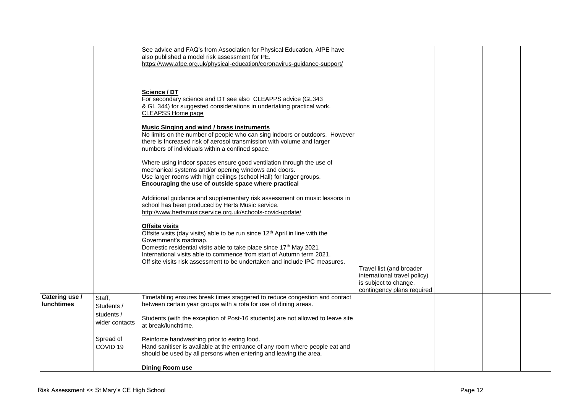|                   | Spread of<br>COVID <sub>19</sub>           | Reinforce handwashing prior to eating food.<br>Hand sanitiser is available at the entrance of any room where people eat and<br>should be used by all persons when entering and leaving the area.<br><b>Dining Room use</b>                                                                                                                                              |                                                                                                                 |  |  |
|-------------------|--------------------------------------------|-------------------------------------------------------------------------------------------------------------------------------------------------------------------------------------------------------------------------------------------------------------------------------------------------------------------------------------------------------------------------|-----------------------------------------------------------------------------------------------------------------|--|--|
| <b>lunchtimes</b> | Students /<br>students /<br>wider contacts | between certain year groups with a rota for use of dining areas.<br>Students (with the exception of Post-16 students) are not allowed to leave site<br>at break/lunchtime.                                                                                                                                                                                              |                                                                                                                 |  |  |
| Catering use /    | Staff,                                     | Timetabling ensures break times staggered to reduce congestion and contact                                                                                                                                                                                                                                                                                              | Travel list (and broader<br>international travel policy)<br>is subject to change,<br>contingency plans required |  |  |
|                   |                                            | <b>Offsite visits</b><br>Offsite visits (day visits) able to be run since 12 <sup>th</sup> April in line with the<br>Government's roadmap.<br>Domestic residential visits able to take place since 17th May 2021<br>International visits able to commence from start of Autumn term 2021.<br>Off site visits risk assessment to be undertaken and include IPC measures. |                                                                                                                 |  |  |
|                   |                                            | Additional guidance and supplementary risk assessment on music lessons in<br>school has been produced by Herts Music service.<br>http://www.hertsmusicservice.org.uk/schools-covid-update/                                                                                                                                                                              |                                                                                                                 |  |  |
|                   |                                            | Where using indoor spaces ensure good ventilation through the use of<br>mechanical systems and/or opening windows and doors.<br>Use larger rooms with high ceilings (school Hall) for larger groups.<br>Encouraging the use of outside space where practical                                                                                                            |                                                                                                                 |  |  |
|                   |                                            | <b>Music Singing and wind / brass instruments</b><br>No limits on the number of people who can sing indoors or outdoors. However<br>there is Increased risk of aerosol transmission with volume and larger<br>numbers of individuals within a confined space.                                                                                                           |                                                                                                                 |  |  |
|                   |                                            | Science / DT<br>For secondary science and DT see also CLEAPPS advice (GL343<br>& GL 344) for suggested considerations in undertaking practical work.<br><b>CLEAPSS Home page</b>                                                                                                                                                                                        |                                                                                                                 |  |  |
|                   |                                            | See advice and FAQ's from Association for Physical Education, AfPE have<br>also published a model risk assessment for PE.<br>https://www.afpe.org.uk/physical-education/coronavirus-guidance-support/                                                                                                                                                                   |                                                                                                                 |  |  |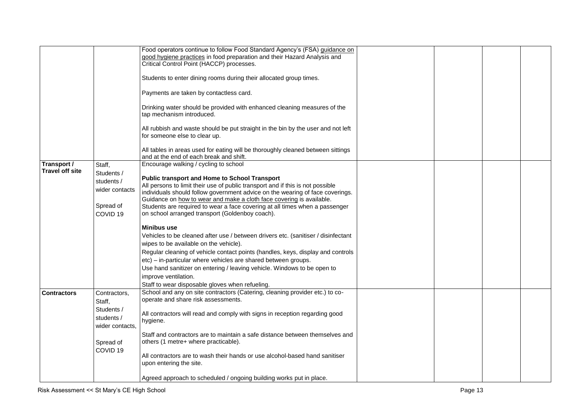|                        |                     | Food operators continue to follow Food Standard Agency's (FSA) guidance on        |  |  |
|------------------------|---------------------|-----------------------------------------------------------------------------------|--|--|
|                        |                     | good hygiene practices in food preparation and their Hazard Analysis and          |  |  |
|                        |                     |                                                                                   |  |  |
|                        |                     | Critical Control Point (HACCP) processes.                                         |  |  |
|                        |                     | Students to enter dining rooms during their allocated group times.                |  |  |
|                        |                     |                                                                                   |  |  |
|                        |                     |                                                                                   |  |  |
|                        |                     | Payments are taken by contactless card.                                           |  |  |
|                        |                     |                                                                                   |  |  |
|                        |                     | Drinking water should be provided with enhanced cleaning measures of the          |  |  |
|                        |                     | tap mechanism introduced.                                                         |  |  |
|                        |                     |                                                                                   |  |  |
|                        |                     | All rubbish and waste should be put straight in the bin by the user and not left  |  |  |
|                        |                     | for someone else to clear up.                                                     |  |  |
|                        |                     |                                                                                   |  |  |
|                        |                     | All tables in areas used for eating will be thoroughly cleaned between sittings   |  |  |
|                        |                     | and at the end of each break and shift.                                           |  |  |
| Transport /            | Staff,              | Encourage walking / cycling to school                                             |  |  |
| <b>Travel off site</b> | Students /          |                                                                                   |  |  |
|                        | students /          | <b>Public transport and Home to School Transport</b>                              |  |  |
|                        | wider contacts      | All persons to limit their use of public transport and if this is not possible    |  |  |
|                        |                     | individuals should follow government advice on the wearing of face coverings.     |  |  |
|                        |                     | Guidance on how to wear and make a cloth face covering is available.              |  |  |
|                        | Spread of           | Students are required to wear a face covering at all times when a passenger       |  |  |
|                        | COVID <sub>19</sub> | on school arranged transport (Goldenboy coach).                                   |  |  |
|                        |                     |                                                                                   |  |  |
|                        |                     | <b>Minibus use</b>                                                                |  |  |
|                        |                     | Vehicles to be cleaned after use / between drivers etc. (sanitiser / disinfectant |  |  |
|                        |                     | wipes to be available on the vehicle).                                            |  |  |
|                        |                     | Regular cleaning of vehicle contact points (handles, keys, display and controls   |  |  |
|                        |                     | etc) - in-particular where vehicles are shared between groups.                    |  |  |
|                        |                     | Use hand sanitizer on entering / leaving vehicle. Windows to be open to           |  |  |
|                        |                     |                                                                                   |  |  |
|                        |                     | improve ventilation.                                                              |  |  |
|                        |                     | Staff to wear disposable gloves when refueling.                                   |  |  |
| <b>Contractors</b>     | Contractors,        | School and any on site contractors (Catering, cleaning provider etc.) to co-      |  |  |
|                        | Staff,              | operate and share risk assessments.                                               |  |  |
|                        | Students /          |                                                                                   |  |  |
|                        | students /          | All contractors will read and comply with signs in reception regarding good       |  |  |
|                        |                     | hygiene.                                                                          |  |  |
|                        | wider contacts.     |                                                                                   |  |  |
|                        |                     | Staff and contractors are to maintain a safe distance between themselves and      |  |  |
|                        | Spread of           | others (1 metre+ where practicable).                                              |  |  |
|                        | COVID <sub>19</sub> |                                                                                   |  |  |
|                        |                     | All contractors are to wash their hands or use alcohol-based hand sanitiser       |  |  |
|                        |                     | upon entering the site.                                                           |  |  |
|                        |                     |                                                                                   |  |  |
|                        |                     | Agreed approach to scheduled / ongoing building works put in place.               |  |  |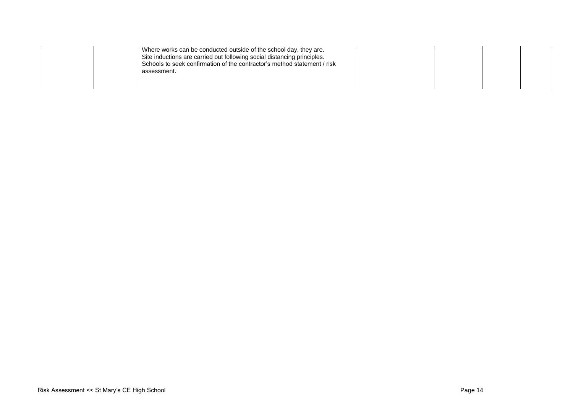| Where works can be conducted outside of the school day, they are.<br>Site inductions are carried out following social distancing principles.<br>Schools to seek confirmation of the contractor's method statement / risk<br>assessment. |  |  |
|-----------------------------------------------------------------------------------------------------------------------------------------------------------------------------------------------------------------------------------------|--|--|
|                                                                                                                                                                                                                                         |  |  |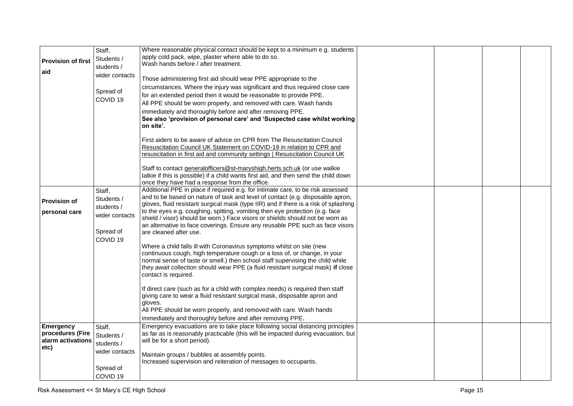|                           | Staff,                           | Where reasonable physical contact should be kept to a minimum e.g. students                                                                                            |  |  |
|---------------------------|----------------------------------|------------------------------------------------------------------------------------------------------------------------------------------------------------------------|--|--|
| <b>Provision of first</b> | Students /                       | apply cold pack, wipe, plaster where able to do so.<br>Wash hands before / after treatment.                                                                            |  |  |
| aid                       | students /                       |                                                                                                                                                                        |  |  |
|                           | wider contacts                   | Those administering first aid should wear PPE appropriate to the                                                                                                       |  |  |
|                           |                                  | circumstances. Where the injury was significant and thus required close care                                                                                           |  |  |
|                           | Spread of                        | for an extended period then it would be reasonable to provide PPE.                                                                                                     |  |  |
|                           | COVID <sub>19</sub>              | All PPE should be worn properly, and removed with care. Wash hands                                                                                                     |  |  |
|                           |                                  | immediately and thoroughly before and after removing PPE.                                                                                                              |  |  |
|                           |                                  | See also 'provision of personal care' and 'Suspected case whilst working                                                                                               |  |  |
|                           |                                  | on site'.                                                                                                                                                              |  |  |
|                           |                                  | First aiders to be aware of advice on CPR from The Resuscitation Council                                                                                               |  |  |
|                           |                                  | Resuscitation Council UK Statement on COVID-19 in relation to CPR and                                                                                                  |  |  |
|                           |                                  | resuscitation in first aid and community settings   Resuscitation Council UK                                                                                           |  |  |
|                           |                                  | Staff to contact generalofficers@st-maryshigh.herts.sch.uk (or use walkie                                                                                              |  |  |
|                           |                                  | talkie if this is possible) if a child wants first aid, and then send the child down                                                                                   |  |  |
|                           |                                  | once they have had a response from the office.                                                                                                                         |  |  |
|                           | Staff,                           | Additional PPE in place if required e.g. for intimate care, to be risk assessed                                                                                        |  |  |
| <b>Provision of</b>       | Students /                       | and to be based on nature of task and level of contact (e.g. disposable apron,<br>gloves, fluid resistant surgical mask (type IIR) and if there is a risk of splashing |  |  |
| personal care             | students /                       | to the eyes e.g. coughing, spitting, vomiting then eye protection (e.g. face                                                                                           |  |  |
|                           | wider contacts                   | shield / visor) should be worn.) Face visors or shields should not be worn as                                                                                          |  |  |
|                           |                                  | an alternative to face coverings. Ensure any reusable PPE such as face visors                                                                                          |  |  |
|                           | Spread of<br>COVID <sub>19</sub> | are cleaned after use.                                                                                                                                                 |  |  |
|                           |                                  | Where a child falls ill with Coronavirus symptoms whilst on site (new                                                                                                  |  |  |
|                           |                                  | continuous cough, high temperature cough or a loss of, or change, in your                                                                                              |  |  |
|                           |                                  | normal sense of taste or smell.) then school staff supervising the child while                                                                                         |  |  |
|                           |                                  | they await collection should wear PPE (a fluid resistant surgical mask) if close                                                                                       |  |  |
|                           |                                  | contact is required.                                                                                                                                                   |  |  |
|                           |                                  | If direct care (such as for a child with complex needs) is required then staff                                                                                         |  |  |
|                           |                                  | giving care to wear a fluid resistant surgical mask, disposable apron and                                                                                              |  |  |
|                           |                                  | gloves.<br>All PPE should be worn properly, and removed with care. Wash hands                                                                                          |  |  |
|                           |                                  | immediately and thoroughly before and after removing PPE.                                                                                                              |  |  |
| <b>Emergency</b>          | Staff,                           | Emergency evacuations are to take place following social distancing principles                                                                                         |  |  |
| procedures (Fire          | Students /                       | as far as is reasonably practicable (this will be impacted during evacuation, but                                                                                      |  |  |
| alarm activations         | students /                       | will be for a short period).                                                                                                                                           |  |  |
| etc)                      | wider contacts                   | Maintain groups / bubbles at assembly points.                                                                                                                          |  |  |
|                           |                                  | Increased supervision and reiteration of messages to occupants.                                                                                                        |  |  |
|                           | Spread of                        |                                                                                                                                                                        |  |  |
|                           | COVID <sub>19</sub>              |                                                                                                                                                                        |  |  |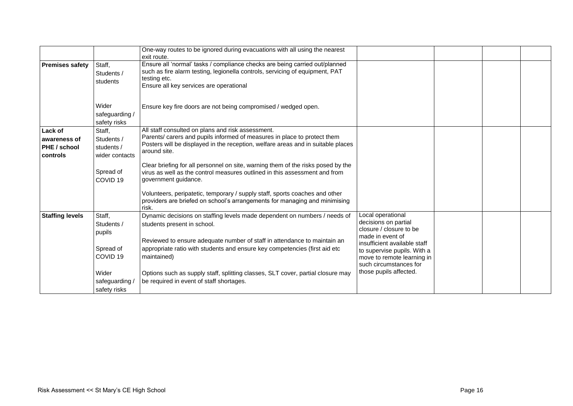|                                                     |                                                      | One-way routes to be ignored during evacuations with all using the nearest<br>exit route.                                                                                                                                         |                                                                                                                                                                                                                                           |  |  |
|-----------------------------------------------------|------------------------------------------------------|-----------------------------------------------------------------------------------------------------------------------------------------------------------------------------------------------------------------------------------|-------------------------------------------------------------------------------------------------------------------------------------------------------------------------------------------------------------------------------------------|--|--|
| <b>Premises safety</b>                              | Staff,<br>Students /<br>students                     | Ensure all 'normal' tasks / compliance checks are being carried out/planned<br>such as fire alarm testing, legionella controls, servicing of equipment, PAT<br>testing etc.<br>Ensure all key services are operational            |                                                                                                                                                                                                                                           |  |  |
|                                                     | Wider<br>safeguarding /<br>safety risks              | Ensure key fire doors are not being compromised / wedged open.                                                                                                                                                                    |                                                                                                                                                                                                                                           |  |  |
| Lack of<br>awareness of<br>PHE / school<br>controls | Staff,<br>Students /<br>students /<br>wider contacts | All staff consulted on plans and risk assessment.<br>Parents/ carers and pupils informed of measures in place to protect them<br>Posters will be displayed in the reception, welfare areas and in suitable places<br>around site. |                                                                                                                                                                                                                                           |  |  |
|                                                     | Spread of<br>COVID <sub>19</sub>                     | Clear briefing for all personnel on site, warning them of the risks posed by the<br>virus as well as the control measures outlined in this assessment and from<br>government guidance.                                            |                                                                                                                                                                                                                                           |  |  |
|                                                     |                                                      | Volunteers, peripatetic, temporary / supply staff, sports coaches and other<br>providers are briefed on school's arrangements for managing and minimising<br>risk.                                                                |                                                                                                                                                                                                                                           |  |  |
| <b>Staffing levels</b>                              | Staff,<br>Students /<br>pupils                       | Dynamic decisions on staffing levels made dependent on numbers / needs of<br>students present in school.                                                                                                                          | Local operational<br>decisions on partial<br>closure / closure to be<br>made in event of<br>insufficient available staff<br>to supervise pupils. With a<br>move to remote learning in<br>such circumstances for<br>those pupils affected. |  |  |
|                                                     | Spread of<br>COVID <sub>19</sub>                     | Reviewed to ensure adequate number of staff in attendance to maintain an<br>appropriate ratio with students and ensure key competencies (first aid etc<br>maintained)                                                             |                                                                                                                                                                                                                                           |  |  |
|                                                     | Wider<br>safeguarding<br>safety risks                | Options such as supply staff, splitting classes, SLT cover, partial closure may<br>be required in event of staff shortages.                                                                                                       |                                                                                                                                                                                                                                           |  |  |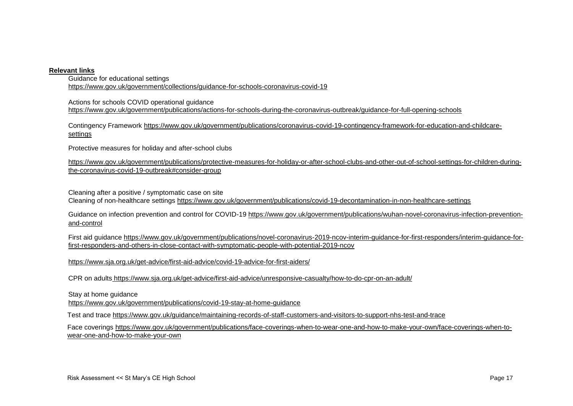## **Relevant links**

Guidance for educational settings <https://www.gov.uk/government/collections/guidance-for-schools-coronavirus-covid-19>

Actions for schools COVID operational guidance <https://www.gov.uk/government/publications/actions-for-schools-during-the-coronavirus-outbreak/guidance-for-full-opening-schools>

Contingency Framework [https://www.gov.uk/government/publications/coronavirus-covid-19-contingency-framework-for-education-and-childcare](https://www.gov.uk/government/publications/coronavirus-covid-19-contingency-framework-for-education-and-childcare-settings)[settings](https://www.gov.uk/government/publications/coronavirus-covid-19-contingency-framework-for-education-and-childcare-settings)

Protective measures for holiday and after-school clubs

[https://www.gov.uk/government/publications/protective-measures-for-holiday-or-after-school-clubs-and-other-out-of-school-settings-for-children-during](https://www.gov.uk/government/publications/protective-measures-for-holiday-or-after-school-clubs-and-other-out-of-school-settings-for-children-during-the-coronavirus-covid-19-outbreak#consider-group)[the-coronavirus-covid-19-outbreak#consider-group](https://www.gov.uk/government/publications/protective-measures-for-holiday-or-after-school-clubs-and-other-out-of-school-settings-for-children-during-the-coronavirus-covid-19-outbreak#consider-group)

Cleaning after a positive / symptomatic case on site Cleaning of non-healthcare settings<https://www.gov.uk/government/publications/covid-19-decontamination-in-non-healthcare-settings>

Guidance on infection prevention and control for COVID-19 [https://www.gov.uk/government/publications/wuhan-novel-coronavirus-infection-prevention](https://www.gov.uk/government/publications/wuhan-novel-coronavirus-infection-prevention-and-control)[and-control](https://www.gov.uk/government/publications/wuhan-novel-coronavirus-infection-prevention-and-control)

First aid guidance [https://www.gov.uk/government/publications/novel-coronavirus-2019-ncov-interim-guidance-for-first-responders/interim-guidance-for](https://www.gov.uk/government/publications/novel-coronavirus-2019-ncov-interim-guidance-for-first-responders/interim-guidance-for-first-responders-and-others-in-close-contact-with-symptomatic-people-with-potential-2019-ncov)[first-responders-and-others-in-close-contact-with-symptomatic-people-with-potential-2019-ncov](https://www.gov.uk/government/publications/novel-coronavirus-2019-ncov-interim-guidance-for-first-responders/interim-guidance-for-first-responders-and-others-in-close-contact-with-symptomatic-people-with-potential-2019-ncov)

<https://www.sja.org.uk/get-advice/first-aid-advice/covid-19-advice-for-first-aiders/>

CPR on adults https://www.sja.org.uk/get-advice/first-aid-advice/unresponsive-casualty/how-to-do-cpr-on-an-adult/

Stay at home guidance

<https://www.gov.uk/government/publications/covid-19-stay-at-home-guidance>

Test and trace<https://www.gov.uk/guidance/maintaining-records-of-staff-customers-and-visitors-to-support-nhs-test-and-trace>

Face coverings [https://www.gov.uk/government/publications/face-coverings-when-to-wear-one-and-how-to-make-your-own/face-coverings-when-to](https://www.gov.uk/government/publications/face-coverings-when-to-wear-one-and-how-to-make-your-own/face-coverings-when-to-wear-one-and-how-to-make-your-own)[wear-one-and-how-to-make-your-own](https://www.gov.uk/government/publications/face-coverings-when-to-wear-one-and-how-to-make-your-own/face-coverings-when-to-wear-one-and-how-to-make-your-own)